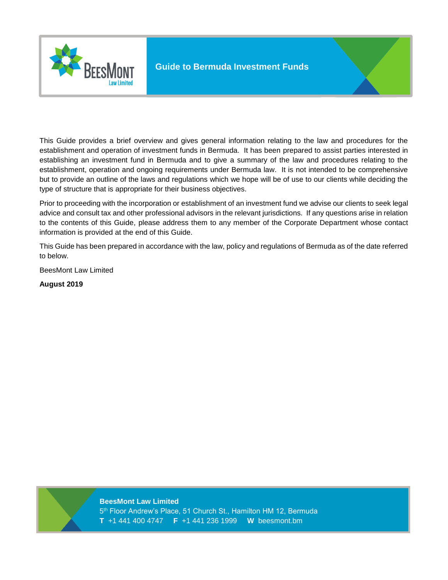

This Guide provides a brief overview and gives general information relating to the law and procedures for the establishment and operation of investment funds in Bermuda. It has been prepared to assist parties interested in establishing an investment fund in Bermuda and to give a summary of the law and procedures relating to the establishment, operation and ongoing requirements under Bermuda law. It is not intended to be comprehensive but to provide an outline of the laws and regulations which we hope will be of use to our clients while deciding the type of structure that is appropriate for their business objectives.

Prior to proceeding with the incorporation or establishment of an investment fund we advise our clients to seek legal advice and consult tax and other professional advisors in the relevant jurisdictions. If any questions arise in relation to the contents of this Guide, please address them to any member of the Corporate Department whose contact information is provided at the end of this Guide.

This Guide has been prepared in accordance with the law, policy and regulations of Bermuda as of the date referred to below.

BeesMont Law Limited

**August 2019**

**BeesMont Law Limited**  5 th Floor Andrew's Place, 51 Church St., Hamilton HM 12, Bermuda **T** +1 441 400 4747 **F** +1 441 236 1999 **W** beesmont.bm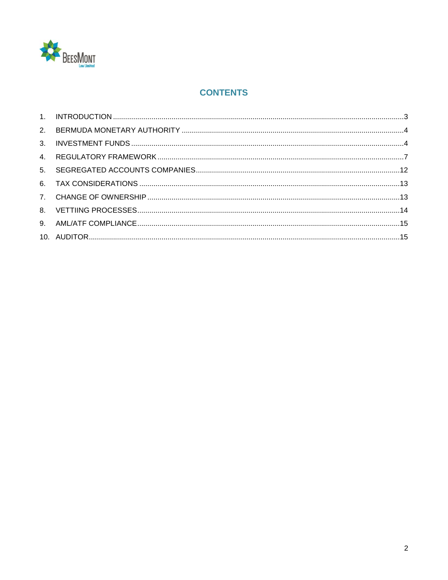

# **CONTENTS**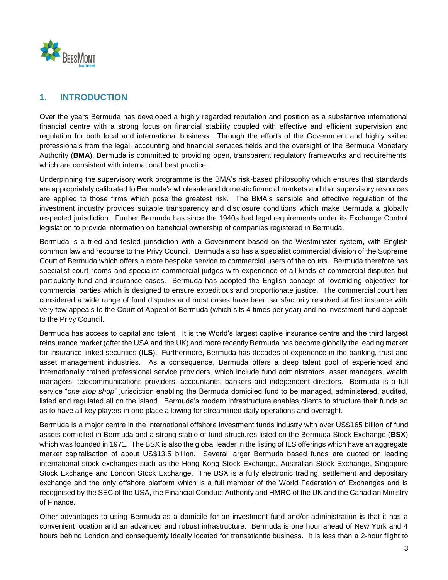

## <span id="page-2-0"></span>**1. INTRODUCTION**

Over the years Bermuda has developed a highly regarded reputation and position as a substantive international financial centre with a strong focus on financial stability coupled with effective and efficient supervision and regulation for both local and international business. Through the efforts of the Government and highly skilled professionals from the legal, accounting and financial services fields and the oversight of the Bermuda Monetary Authority (**BMA**), Bermuda is committed to providing open, transparent regulatory frameworks and requirements, which are consistent with international best practice.

Underpinning the supervisory work programme is the BMA's risk-based philosophy which ensures that standards are appropriately calibrated to Bermuda's wholesale and domestic financial markets and that supervisory resources are applied to those firms which pose the greatest risk. The BMA's sensible and effective regulation of the investment industry provides suitable transparency and disclosure conditions which make Bermuda a globally respected jurisdiction. Further Bermuda has since the 1940s had legal requirements under its Exchange Control legislation to provide information on beneficial ownership of companies registered in Bermuda.

Bermuda is a tried and tested jurisdiction with a Government based on the Westminster system, with English common law and recourse to the Privy Council. Bermuda also has a specialist commercial division of the Supreme Court of Bermuda which offers a more bespoke service to commercial users of the courts. Bermuda therefore has specialist court rooms and specialist commercial judges with experience of all kinds of commercial disputes but particularly fund and insurance cases. Bermuda has adopted the English concept of "overriding objective" for commercial parties which is designed to ensure expeditious and proportionate justice. The commercial court has considered a wide range of fund disputes and most cases have been satisfactorily resolved at first instance with very few appeals to the Court of Appeal of Bermuda (which sits 4 times per year) and no investment fund appeals to the Privy Council.

Bermuda has access to capital and talent. It is the World's largest captive insurance centre and the third largest reinsurance market (after the USA and the UK) and more recently Bermuda has become globally the leading market for insurance linked securities (**ILS**). Furthermore, Bermuda has decades of experience in the banking, trust and asset management industries. As a consequence, Bermuda offers a deep talent pool of experienced and internationally trained professional service providers, which include fund administrators, asset managers, wealth managers, telecommunications providers, accountants, bankers and independent directors. Bermuda is a full service "*one stop shop*" jurisdiction enabling the Bermuda domiciled fund to be managed, administered, audited, listed and regulated all on the island. Bermuda's modern infrastructure enables clients to structure their funds so as to have all key players in one place allowing for streamlined daily operations and oversight.

Bermuda is a major centre in the international offshore investment funds industry with over US\$165 billion of fund assets domiciled in Bermuda and a strong stable of fund structures listed on the Bermuda Stock Exchange (**BSX**) which was founded in 1971. The BSX is also the global leader in the listing of ILS offerings which have an aggregate market capitalisation of about US\$13.5 billion. Several larger Bermuda based funds are quoted on leading international stock exchanges such as the Hong Kong Stock Exchange, Australian Stock Exchange, Singapore Stock Exchange and London Stock Exchange. The BSX is a fully electronic trading, settlement and depositary exchange and the only offshore platform which is a full member of the World Federation of Exchanges and is recognised by the SEC of the USA, the Financial Conduct Authority and HMRC of the UK and the Canadian Ministry of Finance.

Other advantages to using Bermuda as a domicile for an investment fund and/or administration is that it has a convenient location and an advanced and robust infrastructure. Bermuda is one hour ahead of New York and 4 hours behind London and consequently ideally located for transatlantic business. It is less than a 2-hour flight to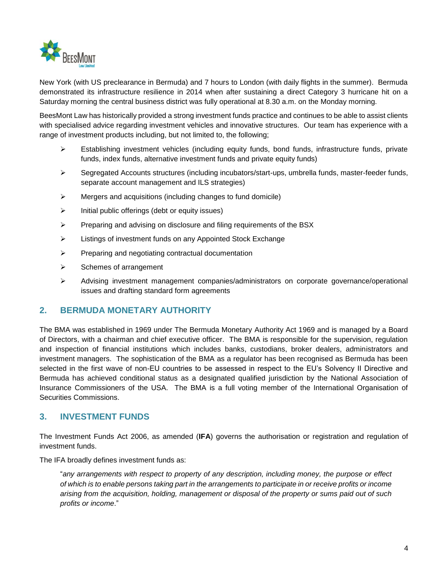

New York (with US preclearance in Bermuda) and 7 hours to London (with daily flights in the summer). Bermuda demonstrated its infrastructure resilience in 2014 when after sustaining a direct Category 3 hurricane hit on a Saturday morning the central business district was fully operational at 8.30 a.m. on the Monday morning.

BeesMont Law has historically provided a strong investment funds practice and continues to be able to assist clients with specialised advice regarding investment vehicles and innovative structures. Our team has experience with a range of investment products including, but not limited to, the following;

- $\triangleright$  Establishing investment vehicles (including equity funds, bond funds, infrastructure funds, private funds, index funds, alternative investment funds and private equity funds)
- Segregated Accounts structures (including incubators/start-ups, umbrella funds, master-feeder funds, separate account management and ILS strategies)
- $\triangleright$  Mergers and acquisitions (including changes to fund domicile)
- $\triangleright$  Initial public offerings (debt or equity issues)
- $\triangleright$  Preparing and advising on disclosure and filing requirements of the BSX
- Listings of investment funds on any Appointed Stock Exchange
- $\triangleright$  Preparing and negotiating contractual documentation
- $\triangleright$  Schemes of arrangement
- Advising investment management companies/administrators on corporate governance/operational issues and drafting standard form agreements

#### <span id="page-3-0"></span>**2. BERMUDA MONETARY AUTHORITY**

The BMA was established in 1969 under The Bermuda Monetary Authority Act 1969 and is managed by a Board of Directors, with a chairman and chief executive officer. The BMA is responsible for the supervision, regulation and inspection of financial institutions which includes banks, custodians, broker dealers, administrators and investment managers. The sophistication of the BMA as a regulator has been recognised as Bermuda has been selected in the first wave of non-EU countries to be assessed in respect to the EU's Solvency II Directive and Bermuda has achieved conditional status as a designated qualified jurisdiction by the National Association of Insurance Commissioners of the USA. The BMA is a full voting member of the International Organisation of Securities Commissions.

#### <span id="page-3-1"></span>**3. INVESTMENT FUNDS**

The Investment Funds Act 2006, as amended (**IFA**) governs the authorisation or registration and regulation of investment funds.

The IFA broadly defines investment funds as:

"*any arrangements with respect to property of any description, including money, the purpose or effect of which is to enable persons taking part in the arrangements to participate in or receive profits or income arising from the acquisition, holding, management or disposal of the property or sums paid out of such profits or income*."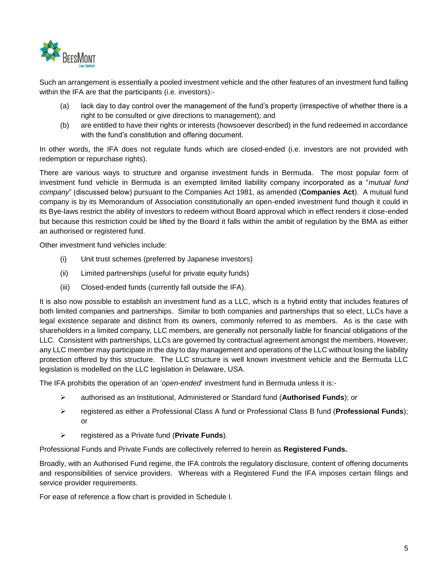

Such an arrangement is essentially a pooled investment vehicle and the other features of an investment fund falling within the IFA are that the participants (i.e. investors):-

- (a) lack day to day control over the management of the fund's property (irrespective of whether there is a right to be consulted or give directions to management); and
- (b) are entitled to have their rights or interests (howsoever described) in the fund redeemed in accordance with the fund's constitution and offering document.

In other words, the IFA does not regulate funds which are closed-ended (i.e. investors are not provided with redemption or repurchase rights).

There are various ways to structure and organise investment funds in Bermuda. The most popular form of investment fund vehicle in Bermuda is an exempted limited liability company incorporated as a "*mutual fund company*" (discussed below) pursuant to the Companies Act 1981, as amended (**Companies Act**). A mutual fund company is by its Memorandum of Association constitutionally an open-ended investment fund though it could in its Bye-laws restrict the ability of investors to redeem without Board approval which in effect renders it close-ended but because this restriction could be lifted by the Board it falls within the ambit of regulation by the BMA as either an authorised or registered fund.

Other investment fund vehicles include:

- (i) Unit trust schemes (preferred by Japanese investors)
- (ii) Limited partnerships (useful for private equity funds)
- (iii) Closed-ended funds (currently fall outside the IFA).

It is also now possible to establish an investment fund as a LLC, which is a hybrid entity that includes features of both limited companies and partnerships. Similar to both companies and partnerships that so elect, LLCs have a legal existence separate and distinct from its owners, commonly referred to as members. As is the case with shareholders in a limited company, LLC members, are generally not personally liable for financial obligations of the LLC. Consistent with partnerships, LLCs are governed by contractual agreement amongst the members. However, any LLC member may participate in the day to day management and operations of the LLC without losing the liability protection offered by this structure. The LLC structure is well known investment vehicle and the Bermuda LLC legislation is modelled on the LLC legislation in Delaware, USA.

The IFA prohibits the operation of an '*open-ended*' investment fund in Bermuda unless it is:-

- authorised as an Institutional, Administered or Standard fund (**Authorised Funds**); or
- registered as either a Professional Class A fund or Professional Class B fund (**Professional Funds**); or
- registered as a Private fund (**Private Funds**).

Professional Funds and Private Funds are collectively referred to herein as **Registered Funds.**

Broadly, with an Authorised Fund regime, the IFA controls the regulatory disclosure, content of offering documents and responsibilities of service providers. Whereas with a Registered Fund the IFA imposes certain filings and service provider requirements.

For ease of reference a flow chart is provided in Schedule I.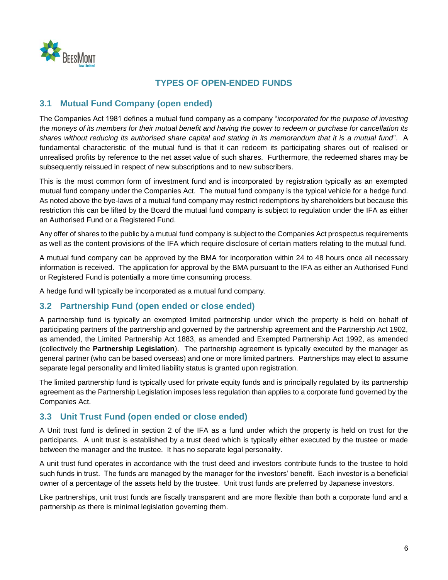

# **TYPES OF OPEN-ENDED FUNDS**

## **3.1 Mutual Fund Company (open ended)**

The Companies Act 1981 defines a mutual fund company as a company "*incorporated for the purpose of investing the moneys of its members for their mutual benefit and having the power to redeem or purchase for cancellation its shares without reducing its authorised share capital and stating in its memorandum that it is a mutual fund*". A fundamental characteristic of the mutual fund is that it can redeem its participating shares out of realised or unrealised profits by reference to the net asset value of such shares. Furthermore, the redeemed shares may be subsequently reissued in respect of new subscriptions and to new subscribers.

This is the most common form of investment fund and is incorporated by registration typically as an exempted mutual fund company under the Companies Act. The mutual fund company is the typical vehicle for a hedge fund. As noted above the bye-laws of a mutual fund company may restrict redemptions by shareholders but because this restriction this can be lifted by the Board the mutual fund company is subject to regulation under the IFA as either an Authorised Fund or a Registered Fund.

Any offer of shares to the public by a mutual fund company is subject to the Companies Act prospectus requirements as well as the content provisions of the IFA which require disclosure of certain matters relating to the mutual fund.

A mutual fund company can be approved by the BMA for incorporation within 24 to 48 hours once all necessary information is received. The application for approval by the BMA pursuant to the IFA as either an Authorised Fund or Registered Fund is potentially a more time consuming process.

A hedge fund will typically be incorporated as a mutual fund company.

### **3.2 Partnership Fund (open ended or close ended)**

A partnership fund is typically an exempted limited partnership under which the property is held on behalf of participating partners of the partnership and governed by the partnership agreement and the Partnership Act 1902, as amended, the Limited Partnership Act 1883, as amended and Exempted Partnership Act 1992, as amended (collectively the **Partnership Legislation**). The partnership agreement is typically executed by the manager as general partner (who can be based overseas) and one or more limited partners. Partnerships may elect to assume separate legal personality and limited liability status is granted upon registration.

The limited partnership fund is typically used for private equity funds and is principally regulated by its partnership agreement as the Partnership Legislation imposes less regulation than applies to a corporate fund governed by the Companies Act.

#### **3.3 Unit Trust Fund (open ended or close ended)**

A Unit trust fund is defined in section 2 of the IFA as a fund under which the property is held on trust for the participants. A unit trust is established by a trust deed which is typically either executed by the trustee or made between the manager and the trustee. It has no separate legal personality.

A unit trust fund operates in accordance with the trust deed and investors contribute funds to the trustee to hold such funds in trust. The funds are managed by the manager for the investors' benefit. Each investor is a beneficial owner of a percentage of the assets held by the trustee. Unit trust funds are preferred by Japanese investors.

Like partnerships, unit trust funds are fiscally transparent and are more flexible than both a corporate fund and a partnership as there is minimal legislation governing them.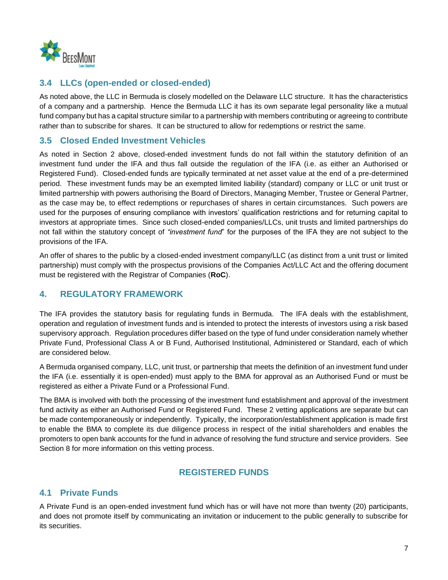

## **3.4 LLCs (open-ended or closed-ended)**

As noted above, the LLC in Bermuda is closely modelled on the Delaware LLC structure. It has the characteristics of a company and a partnership. Hence the Bermuda LLC it has its own separate legal personality like a mutual fund company but has a capital structure similar to a partnership with members contributing or agreeing to contribute rather than to subscribe for shares. It can be structured to allow for redemptions or restrict the same.

## **3.5 Closed Ended Investment Vehicles**

As noted in Section [2](#page-3-0) above, closed-ended investment funds do not fall within the statutory definition of an investment fund under the IFA and thus fall outside the regulation of the IFA (i.e. as either an Authorised or Registered Fund). Closed-ended funds are typically terminated at net asset value at the end of a pre-determined period. These investment funds may be an exempted limited liability (standard) company or LLC or unit trust or limited partnership with powers authorising the Board of Directors, Managing Member, Trustee or General Partner, as the case may be, to effect redemptions or repurchases of shares in certain circumstances. Such powers are used for the purposes of ensuring compliance with investors' qualification restrictions and for returning capital to investors at appropriate times. Since such closed-ended companies/LLCs, unit trusts and limited partnerships do not fall within the statutory concept of *"investment fund*" for the purposes of the IFA they are not subject to the provisions of the IFA.

An offer of shares to the public by a closed-ended investment company/LLC (as distinct from a unit trust or limited partnership) must comply with the prospectus provisions of the Companies Act/LLC Act and the offering document must be registered with the Registrar of Companies (**RoC**).

## <span id="page-6-0"></span>**4. REGULATORY FRAMEWORK**

The IFA provides the statutory basis for regulating funds in Bermuda. The IFA deals with the establishment, operation and regulation of investment funds and is intended to protect the interests of investors using a risk based supervisory approach. Regulation procedures differ based on the type of fund under consideration namely whether Private Fund, Professional Class A or B Fund, Authorised Institutional, Administered or Standard, each of which are considered below.

A Bermuda organised company, LLC, unit trust, or partnership that meets the definition of an investment fund under the IFA (i.e. essentially it is open-ended) must apply to the BMA for approval as an Authorised Fund or must be registered as either a Private Fund or a Professional Fund.

The BMA is involved with both the processing of the investment fund establishment and approval of the investment fund activity as either an Authorised Fund or Registered Fund. These 2 vetting applications are separate but can be made contemporaneously or independently. Typically, the incorporation/establishment application is made first to enable the BMA to complete its due diligence process in respect of the initial shareholders and enables the promoters to open bank accounts for the fund in advance of resolving the fund structure and service providers. See Section [8](#page-13-0) for more information on this vetting process.

### **REGISTERED FUNDS**

### <span id="page-6-1"></span>**4.1 Private Funds**

A Private Fund is an open-ended investment fund which has or will have not more than twenty (20) participants, and does not promote itself by communicating an invitation or inducement to the public generally to subscribe for its securities.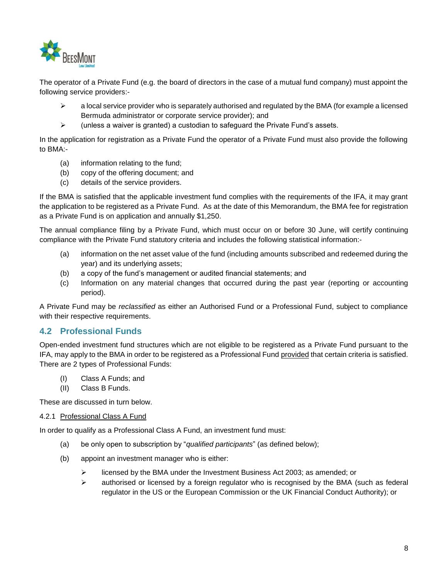

The operator of a Private Fund (e.g. the board of directors in the case of a mutual fund company) must appoint the following service providers:-

- $\triangleright$  a local service provider who is separately authorised and regulated by the BMA (for example a licensed Bermuda administrator or corporate service provider); and
- $\triangleright$  (unless a waiver is granted) a custodian to safeguard the Private Fund's assets.

In the application for registration as a Private Fund the operator of a Private Fund must also provide the following to BMA:-

- (a) information relating to the fund;
- (b) copy of the offering document; and
- (c) details of the service providers.

If the BMA is satisfied that the applicable investment fund complies with the requirements of the IFA, it may grant the application to be registered as a Private Fund. As at the date of this Memorandum, the BMA fee for registration as a Private Fund is on application and annually \$1,250.

The annual compliance filing by a Private Fund, which must occur on or before 30 June, will certify continuing compliance with the Private Fund statutory criteria and includes the following statistical information:-

- (a) information on the net asset value of the fund (including amounts subscribed and redeemed during the year) and its underlying assets;
- (b) a copy of the fund's management or audited financial statements; and
- (c) Information on any material changes that occurred during the past year (reporting or accounting period).

A Private Fund may be *reclassified* as either an Authorised Fund or a Professional Fund, subject to compliance with their respective requirements.

### <span id="page-7-0"></span>**4.2 Professional Funds**

Open-ended investment fund structures which are not eligible to be registered as a Private Fund pursuant to the IFA, may apply to the BMA in order to be registered as a Professional Fund provided that certain criteria is satisfied. There are 2 types of Professional Funds:

- (I) Class A Funds; and
- (II) Class B Funds.

These are discussed in turn below.

#### 4.2.1 Professional Class A Fund

In order to qualify as a Professional Class A Fund, an investment fund must:

- (a) be only open to subscription by "*qualified participants*" (as defined below);
- (b) appoint an investment manager who is either:
	- $\triangleright$  licensed by the BMA under the Investment Business Act 2003; as amended; or
	- $\triangleright$  authorised or licensed by a foreign regulator who is recognised by the BMA (such as federal regulator in the US or the European Commission or the UK Financial Conduct Authority); or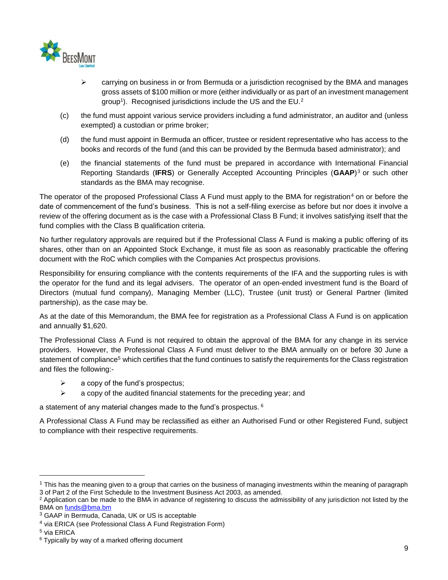

- $\triangleright$  carrying on business in or from Bermuda or a jurisdiction recognised by the BMA and manages gross assets of \$100 million or more (either individually or as part of an investment management group<sup>1</sup>). Recognised jurisdictions include the US and the EU.<sup>2</sup>
- (c) the fund must appoint various service providers including a fund administrator, an auditor and (unless exempted) a custodian or prime broker;
- (d) the fund must appoint in Bermuda an officer, trustee or resident representative who has access to the books and records of the fund (and this can be provided by the Bermuda based administrator); and
- (e) the financial statements of the fund must be prepared in accordance with International Financial Reporting Standards (**IFRS**) or Generally Accepted Accounting Principles (**GAAP**) <sup>3</sup> or such other standards as the BMA may recognise.

The operator of the proposed Professional Class A Fund must apply to the BMA for registration<sup>4</sup> on or before the date of commencement of the fund's business. This is not a self-filing exercise as before but nor does it involve a review of the offering document as is the case with a Professional Class B Fund; it involves satisfying itself that the fund complies with the Class B qualification criteria.

No further regulatory approvals are required but if the Professional Class A Fund is making a public offering of its shares, other than on an Appointed Stock Exchange, it must file as soon as reasonably practicable the offering document with the RoC which complies with the Companies Act prospectus provisions.

Responsibility for ensuring compliance with the contents requirements of the IFA and the supporting rules is with the operator for the fund and its legal advisers. The operator of an open-ended investment fund is the Board of Directors (mutual fund company), Managing Member (LLC), Trustee (unit trust) or General Partner (limited partnership), as the case may be.

As at the date of this Memorandum, the BMA fee for registration as a Professional Class A Fund is on application and annually \$1,620.

The Professional Class A Fund is not required to obtain the approval of the BMA for any change in its service providers. However, the Professional Class A Fund must deliver to the BMA annually on or before 30 June a statement of compliance<sup>5</sup> which certifies that the fund continues to satisfy the requirements for the Class registration and files the following:-

- $\triangleright$  a copy of the fund's prospectus;
- $\triangleright$  a copy of the audited financial statements for the preceding year; and

a statement of any material changes made to the fund's prospectus.  $6$ 

A Professional Class A Fund may be reclassified as either an Authorised Fund or other Registered Fund, subject to compliance with their respective requirements.

l

<sup>&</sup>lt;sup>1</sup> This has the meaning given to a group that carries on the business of managing investments within the meaning of paragraph 3 of Part 2 of the First Schedule to the Investment Business Act 2003, as amended.

<sup>&</sup>lt;sup>2</sup> Application can be made to the BMA in advance of registering to discuss the admissibility of any jurisdiction not listed by the BMA on [funds@bma.bm](mailto:funds@bma.bm)

<sup>3</sup> GAAP in Bermuda, Canada, UK or US is acceptable

<sup>4</sup> via ERICA (see Professional Class A Fund Registration Form)

<sup>5</sup> via ERICA

<sup>&</sup>lt;sup>6</sup> Typically by way of a marked offering document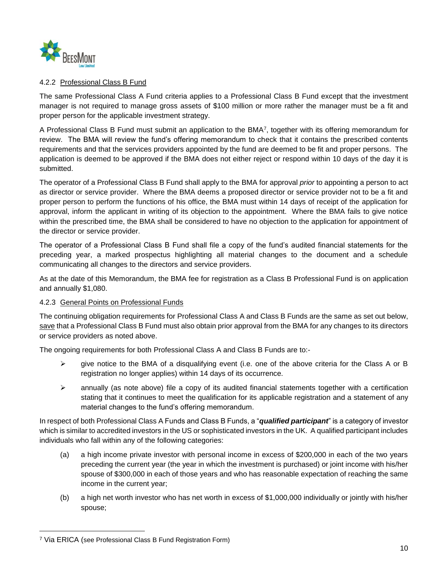

#### 4.2.2 Professional Class B Fund

The same Professional Class A Fund criteria applies to a Professional Class B Fund except that the investment manager is not required to manage gross assets of \$100 million or more rather the manager must be a fit and proper person for the applicable investment strategy.

A Professional Class B Fund must submit an application to the BMA7, together with its offering memorandum for review. The BMA will review the fund's offering memorandum to check that it contains the prescribed contents requirements and that the services providers appointed by the fund are deemed to be fit and proper persons. The application is deemed to be approved if the BMA does not either reject or respond within 10 days of the day it is submitted.

The operator of a Professional Class B Fund shall apply to the BMA for approval *prior* to appointing a person to act as director or service provider. Where the BMA deems a proposed director or service provider not to be a fit and proper person to perform the functions of his office, the BMA must within 14 days of receipt of the application for approval, inform the applicant in writing of its objection to the appointment. Where the BMA fails to give notice within the prescribed time, the BMA shall be considered to have no objection to the application for appointment of the director or service provider.

The operator of a Professional Class B Fund shall file a copy of the fund's audited financial statements for the preceding year, a marked prospectus highlighting all material changes to the document and a schedule communicating all changes to the directors and service providers.

As at the date of this Memorandum, the BMA fee for registration as a Class B Professional Fund is on application and annually \$1,080.

#### 4.2.3 General Points on Professional Funds

The continuing obligation requirements for Professional Class A and Class B Funds are the same as set out below, save that a Professional Class B Fund must also obtain prior approval from the BMA for any changes to its directors or service providers as noted above.

The ongoing requirements for both Professional Class A and Class B Funds are to:-

- $\triangleright$  qive notice to the BMA of a disqualifying event (i.e. one of the above criteria for the Class A or B registration no longer applies) within 14 days of its occurrence.
- $\triangleright$  annually (as note above) file a copy of its audited financial statements together with a certification stating that it continues to meet the qualification for its applicable registration and a statement of any material changes to the fund's offering memorandum.

In respect of both Professional Class A Funds and Class B Funds, a "*qualified participant*" is a category of investor which is similar to accredited investors in the US or sophisticated investors in the UK. A qualified participant includes individuals who fall within any of the following categories:

- (a) a high income private investor with personal income in excess of \$200,000 in each of the two years preceding the current year (the year in which the investment is purchased) or joint income with his/her spouse of \$300,000 in each of those years and who has reasonable expectation of reaching the same income in the current year;
- (b) a high net worth investor who has net worth in excess of \$1,000,000 individually or jointly with his/her spouse;

l

<sup>7</sup> Via ERICA (see Professional Class B Fund Registration Form)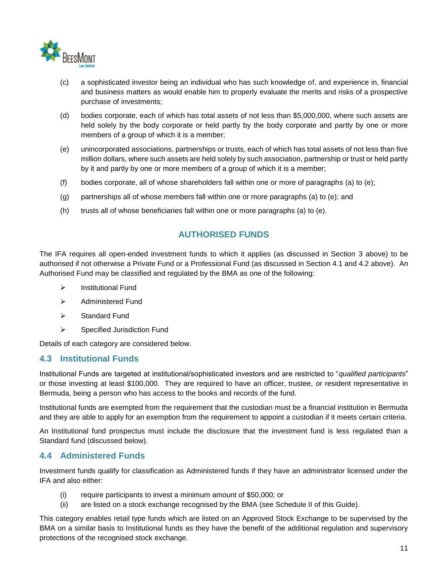

- (c) a sophisticated investor being an individual who has such knowledge of, and experience in, financial and business matters as would enable him to properly evaluate the merits and risks of a prospective purchase of investments;
- (d) bodies corporate, each of which has total assets of not less than \$5,000,000, where such assets are held solely by the body corporate or held partly by the body corporate and partly by one or more members of a group of which it is a member;
- (e) unincorporated associations, partnerships or trusts, each of which has total assets of not less than five million dollars, where such assets are held solely by such association, partnership or trust or held partly by it and partly by one or more members of a group of which it is a member;
- (f) bodies corporate, all of whose shareholders fall within one or more of paragraphs (a) to (e);
- (g) partnerships all of whose members fall within one or more paragraphs (a) to (e); and
- (h) trusts all of whose beneficiaries fall within one or more paragraphs (a) to (e).

### **AUTHORISED FUNDS**

The IFA requires all open-ended investment funds to which it applies (as discussed in Section [3](#page-3-1) above) to be authorised if not otherwise a Private Fund or a Professional Fund (as discussed in Section [4.1](#page-6-1) and [4.2](#page-7-0) above). An Authorised Fund may be classified and regulated by the BMA as one of the following:

- $\triangleright$  Institutional Fund
- $\triangleright$  Administered Fund
- $\triangleright$  Standard Fund
- Specified Jurisdiction Fund

Details of each category are considered below.

#### **4.3 Institutional Funds**

Institutional Funds are targeted at institutional/sophisticated investors and are restricted to "*qualified participants*" or those investing at least \$100,000. They are required to have an officer, trustee, or resident representative in Bermuda, being a person who has access to the books and records of the fund.

Institutional funds are exempted from the requirement that the custodian must be a financial institution in Bermuda and they are able to apply for an exemption from the requirement to appoint a custodian if it meets certain criteria.

An Institutional fund prospectus must include the disclosure that the investment fund is less regulated than a Standard fund (discussed below).

#### **4.4 Administered Funds**

Investment funds qualify for classification as Administered funds if they have an administrator licensed under the IFA and also either:

- (i) require participants to invest a minimum amount of \$50,000; or
- (ii) are listed on a stock exchange recognised by the BMA (see Schedule II of this Guide).

This category enables retail type funds which are listed on an Approved Stock Exchange to be supervised by the BMA on a similar basis to Institutional funds as they have the benefit of the additional regulation and supervisory protections of the recognised stock exchange.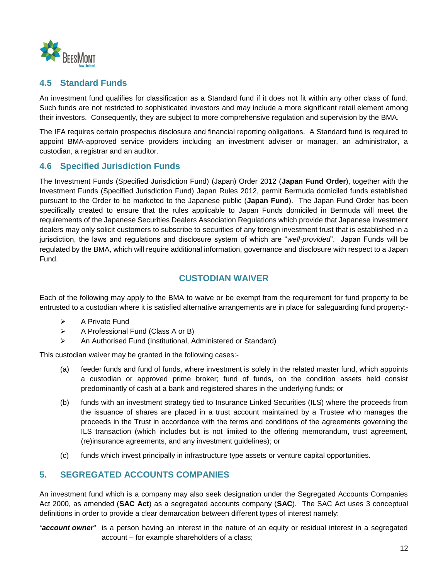

## **4.5 Standard Funds**

An investment fund qualifies for classification as a Standard fund if it does not fit within any other class of fund. Such funds are not restricted to sophisticated investors and may include a more significant retail element among their investors. Consequently, they are subject to more comprehensive regulation and supervision by the BMA.

The IFA requires certain prospectus disclosure and financial reporting obligations. A Standard fund is required to appoint BMA-approved service providers including an investment adviser or manager, an administrator, a custodian, a registrar and an auditor.

### **4.6 Specified Jurisdiction Funds**

The Investment Funds (Specified Jurisdiction Fund) (Japan) Order 2012 (**Japan Fund Order**), together with the Investment Funds (Specified Jurisdiction Fund) Japan Rules 2012, permit Bermuda domiciled funds established pursuant to the Order to be marketed to the Japanese public (**Japan Fund**). The Japan Fund Order has been specifically created to ensure that the rules applicable to Japan Funds domiciled in Bermuda will meet the requirements of the Japanese Securities Dealers Association Regulations which provide that Japanese investment dealers may only solicit customers to subscribe to securities of any foreign investment trust that is established in a jurisdiction, the laws and regulations and disclosure system of which are "*well*‐*provided*". Japan Funds will be regulated by the BMA, which will require additional information, governance and disclosure with respect to a Japan Fund.

### **CUSTODIAN WAIVER**

Each of the following may apply to the BMA to waive or be exempt from the requirement for fund property to be entrusted to a custodian where it is satisfied alternative arrangements are in place for safeguarding fund property:-

- $\triangleright$  A Private Fund
- $\triangleright$  A Professional Fund (Class A or B)
- An Authorised Fund (Institutional, Administered or Standard)

This custodian waiver may be granted in the following cases:-

- (a) feeder funds and fund of funds, where investment is solely in the related master fund, which appoints a custodian or approved prime broker; fund of funds, on the condition assets held consist predominantly of cash at a bank and registered shares in the underlying funds; or
- (b) funds with an investment strategy tied to Insurance Linked Securities (ILS) where the proceeds from the issuance of shares are placed in a trust account maintained by a Trustee who manages the proceeds in the Trust in accordance with the terms and conditions of the agreements governing the ILS transaction (which includes but is not limited to the offering memorandum, trust agreement, (re)insurance agreements, and any investment guidelines); or
- (c) funds which invest principally in infrastructure type assets or venture capital opportunities.

### <span id="page-11-0"></span>**5. SEGREGATED ACCOUNTS COMPANIES**

An investment fund which is a company may also seek designation under the Segregated Accounts Companies Act 2000, as amended (**SAC Act**) as a segregated accounts company (**SAC**). The SAC Act uses 3 conceptual definitions in order to provide a clear demarcation between different types of interest namely:

*"account owner*" is a person having an interest in the nature of an equity or residual interest in a segregated account – for example shareholders of a class;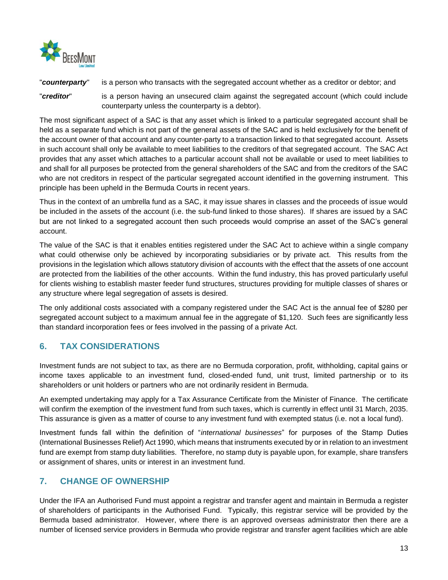

"*counterparty*" is a person who transacts with the segregated account whether as a creditor or debtor; and

"*creditor*" is a person having an unsecured claim against the segregated account (which could include counterparty unless the counterparty is a debtor).

The most significant aspect of a SAC is that any asset which is linked to a particular segregated account shall be held as a separate fund which is not part of the general assets of the SAC and is held exclusively for the benefit of the account owner of that account and any counter-party to a transaction linked to that segregated account. Assets in such account shall only be available to meet liabilities to the creditors of that segregated account. The SAC Act provides that any asset which attaches to a particular account shall not be available or used to meet liabilities to and shall for all purposes be protected from the general shareholders of the SAC and from the creditors of the SAC who are not creditors in respect of the particular segregated account identified in the governing instrument. This principle has been upheld in the Bermuda Courts in recent years.

Thus in the context of an umbrella fund as a SAC, it may issue shares in classes and the proceeds of issue would be included in the assets of the account (i.e. the sub-fund linked to those shares). If shares are issued by a SAC but are not linked to a segregated account then such proceeds would comprise an asset of the SAC's general account.

The value of the SAC is that it enables entities registered under the SAC Act to achieve within a single company what could otherwise only be achieved by incorporating subsidiaries or by private act. This results from the provisions in the legislation which allows statutory division of accounts with the effect that the assets of one account are protected from the liabilities of the other accounts. Within the fund industry, this has proved particularly useful for clients wishing to establish master feeder fund structures, structures providing for multiple classes of shares or any structure where legal segregation of assets is desired.

The only additional costs associated with a company registered under the SAC Act is the annual fee of \$280 per segregated account subject to a maximum annual fee in the aggregate of \$1,120. Such fees are significantly less than standard incorporation fees or fees involved in the passing of a private Act.

# <span id="page-12-0"></span>**6. TAX CONSIDERATIONS**

Investment funds are not subject to tax, as there are no Bermuda corporation, profit, withholding, capital gains or income taxes applicable to an investment fund, closed-ended fund, unit trust, limited partnership or to its shareholders or unit holders or partners who are not ordinarily resident in Bermuda.

An exempted undertaking may apply for a Tax Assurance Certificate from the Minister of Finance. The certificate will confirm the exemption of the investment fund from such taxes, which is currently in effect until 31 March, 2035. This assurance is given as a matter of course to any investment fund with exempted status (i.e. not a local fund).

Investment funds fall within the definition of "*international businesses*" for purposes of the Stamp Duties (International Businesses Relief) Act 1990, which means that instruments executed by or in relation to an investment fund are exempt from stamp duty liabilities. Therefore, no stamp duty is payable upon, for example, share transfers or assignment of shares, units or interest in an investment fund.

# <span id="page-12-1"></span>**7. CHANGE OF OWNERSHIP**

Under the IFA an Authorised Fund must appoint a registrar and transfer agent and maintain in Bermuda a register of shareholders of participants in the Authorised Fund. Typically, this registrar service will be provided by the Bermuda based administrator. However, where there is an approved overseas administrator then there are a number of licensed service providers in Bermuda who provide registrar and transfer agent facilities which are able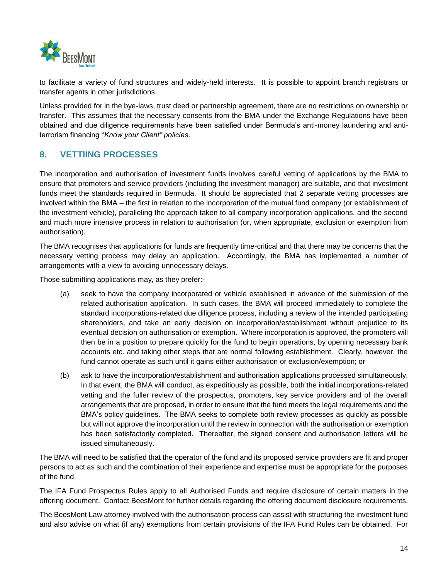

to facilitate a variety of fund structures and widely-held interests. It is possible to appoint branch registrars or transfer agents in other jurisdictions.

Unless provided for in the bye-laws, trust deed or partnership agreement, there are no restrictions on ownership or transfer. This assumes that the necessary consents from the BMA under the Exchange Regulations have been obtained and due diligence requirements have been satisfied under Bermuda's anti-money laundering and antiterrorism financing "*Know your Client" policies*.

### <span id="page-13-0"></span>**8. VETTIING PROCESSES**

The incorporation and authorisation of investment funds involves careful vetting of applications by the BMA to ensure that promoters and service providers (including the investment manager) are suitable, and that investment funds meet the standards required in Bermuda. It should be appreciated that 2 separate vetting processes are involved within the BMA – the first in relation to the incorporation of the mutual fund company (or establishment of the investment vehicle), paralleling the approach taken to all company incorporation applications, and the second and much more intensive process in relation to authorisation (or, when appropriate, exclusion or exemption from authorisation).

The BMA recognises that applications for funds are frequently time-critical and that there may be concerns that the necessary vetting process may delay an application. Accordingly, the BMA has implemented a number of arrangements with a view to avoiding unnecessary delays.

Those submitting applications may, as they prefer:-

- (a) seek to have the company incorporated or vehicle established in advance of the submission of the related authorisation application. In such cases, the BMA will proceed immediately to complete the standard incorporations-related due diligence process, including a review of the intended participating shareholders, and take an early decision on incorporation/establishment without prejudice to its eventual decision on authorisation or exemption. Where incorporation is approved, the promoters will then be in a position to prepare quickly for the fund to begin operations, by opening necessary bank accounts etc. and taking other steps that are normal following establishment. Clearly, however, the fund cannot operate as such until it gains either authorisation or exclusion/exemption; or
- (b) ask to have the incorporation/establishment and authorisation applications processed simultaneously. In that event, the BMA will conduct, as expeditiously as possible, both the initial incorporations-related vetting and the fuller review of the prospectus, promoters, key service providers and of the overall arrangements that are proposed, in order to ensure that the fund meets the legal requirements and the BMA's policy guidelines. The BMA seeks to complete both review processes as quickly as possible but will not approve the incorporation until the review in connection with the authorisation or exemption has been satisfactorily completed. Thereafter, the signed consent and authorisation letters will be issued simultaneously.

The BMA will need to be satisfied that the operator of the fund and its proposed service providers are fit and proper persons to act as such and the combination of their experience and expertise must be appropriate for the purposes of the fund.

The IFA Fund Prospectus Rules apply to all Authorised Funds and require disclosure of certain matters in the offering document. Contact BeesMont for further details regarding the offering document disclosure requirements.

The BeesMont Law attorney involved with the authorisation process can assist with structuring the investment fund and also advise on what (if any) exemptions from certain provisions of the IFA Fund Rules can be obtained. For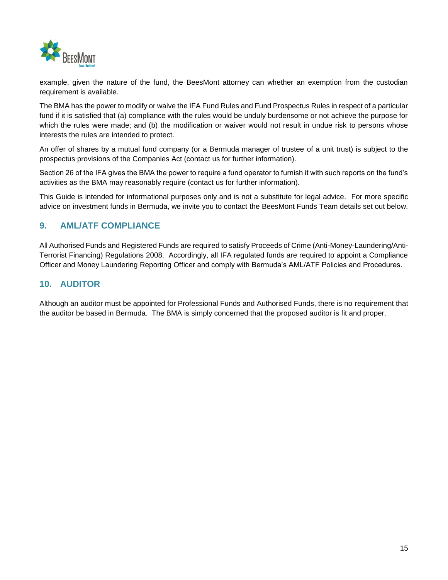

example, given the nature of the fund, the BeesMont attorney can whether an exemption from the custodian requirement is available.

The BMA has the power to modify or waive the IFA Fund Rules and Fund Prospectus Rules in respect of a particular fund if it is satisfied that (a) compliance with the rules would be unduly burdensome or not achieve the purpose for which the rules were made; and (b) the modification or waiver would not result in undue risk to persons whose interests the rules are intended to protect.

An offer of shares by a mutual fund company (or a Bermuda manager of trustee of a unit trust) is subject to the prospectus provisions of the Companies Act (contact us for further information).

Section 26 of the IFA gives the BMA the power to require a fund operator to furnish it with such reports on the fund's activities as the BMA may reasonably require (contact us for further information).

This Guide is intended for informational purposes only and is not a substitute for legal advice. For more specific advice on investment funds in Bermuda, we invite you to contact the BeesMont Funds Team details set out below.

## <span id="page-14-0"></span>**9. AML/ATF COMPLIANCE**

All Authorised Funds and Registered Funds are required to satisfy Proceeds of Crime (Anti-Money-Laundering/Anti-Terrorist Financing) Regulations 2008. Accordingly, all IFA regulated funds are required to appoint a Compliance Officer and Money Laundering Reporting Officer and comply with Bermuda's AML/ATF Policies and Procedures.

### <span id="page-14-1"></span>**10. AUDITOR**

Although an auditor must be appointed for Professional Funds and Authorised Funds, there is no requirement that the auditor be based in Bermuda. The BMA is simply concerned that the proposed auditor is fit and proper.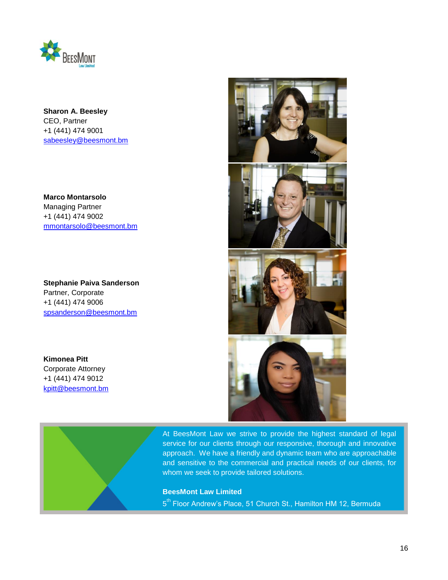

**Sharon A. Beesley** CEO, Partner +1 (441) 474 9001 [sabeesley@beesmont.bm](mailto:sabeesley@beesmont.bm)

**Marco Montarsolo** Managing Partner +1 (441) 474 9002 [mmontarsolo@beesmont.bm](mailto:mmontarsolo@beesmont.bm)

**Stephanie Paiva Sanderson** Partner, Corporate +1 (441) 474 9006 [spsanderson@beesmont.bm](mailto:spsanderson@beesmont.bm)

**Kimonea Pitt** Corporate Attorney +1 (441) 474 9012 [kpitt@beesmont.bm](mailto:kpitt@beesmont.bm)





At BeesMont Law we strive to provide the highest standard of legal service for our clients through our responsive, thorough and innovative approach. We have a friendly and dynamic team who are approachable and sensitive to the commercial and practical needs of our clients, for whom we seek to provide tailored solutions.

**BeesMont Law Limited** 

5<sup>th</sup> Floor Andrew's Place, 51 Church St., Hamilton HM 12, Bermuda

**T** +1 441 400 4747 **F** +1 441 236 1999 **W** beesmont.bm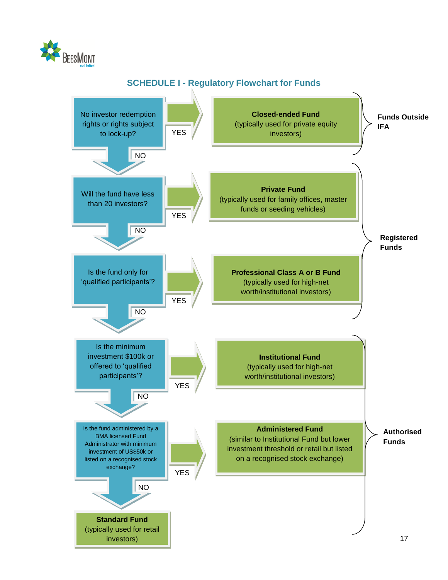

# **SCHEDULE I - Regulatory Flowchart for Funds**